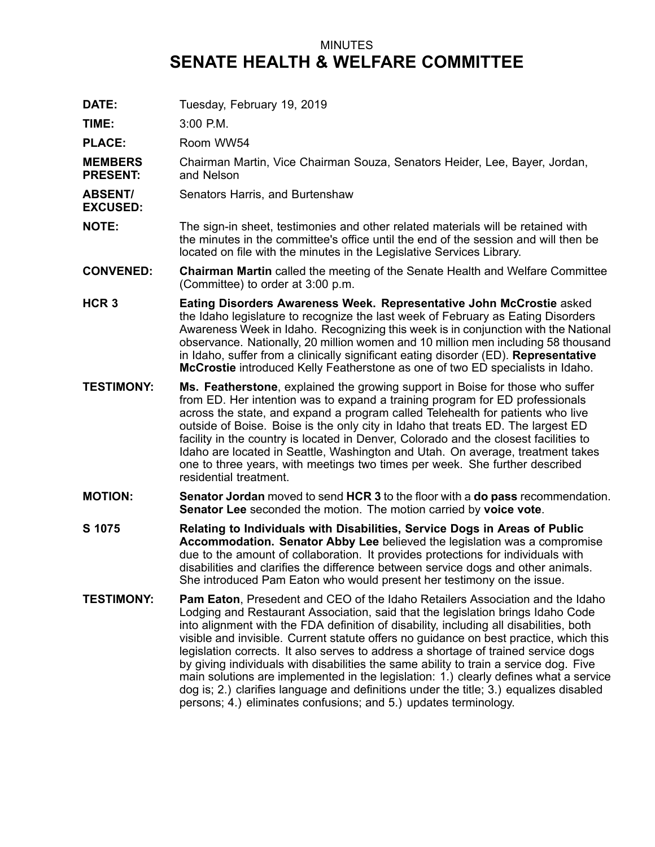## MINUTES **SENATE HEALTH & WELFARE COMMITTEE**

**DATE:** Tuesday, February 19, 2019

**TIME:** 3:00 P.M.

PLACE: Room WW54

**MEMBERS PRESENT:** Chairman Martin, Vice Chairman Souza, Senators Heider, Lee, Bayer, Jordan, and Nelson

- **ABSENT/** Senators Harris, and Burtenshaw
- **EXCUSED:**
- **NOTE:** The sign-in sheet, testimonies and other related materials will be retained with the minutes in the committee's office until the end of the session and will then be located on file with the minutes in the Legislative Services Library.
- **CONVENED: Chairman Martin** called the meeting of the Senate Health and Welfare Committee (Committee) to order at 3:00 p.m.
- **HCR 3 Eating Disorders Awareness Week. Representative John McCrostie** asked the Idaho legislature to recognize the last week of February as Eating Disorders Awareness Week in Idaho. Recognizing this week is in conjunction with the National observance. Nationally, 20 million women and 10 million men including 58 thousand in Idaho, suffer from <sup>a</sup> clinically significant eating disorder (ED). **Representative McCrostie** introduced Kelly Featherstone as one of two ED specialists in Idaho.
- **TESTIMONY: Ms. Featherstone**, explained the growing support in Boise for those who suffer from ED. Her intention was to expand <sup>a</sup> training program for ED professionals across the state, and expand <sup>a</sup> program called Telehealth for patients who live outside of Boise. Boise is the only city in Idaho that treats ED. The largest ED facility in the country is located in Denver, Colorado and the closest facilities to Idaho are located in Seattle, Washington and Utah. On average, treatment takes one to three years, with meetings two times per week. She further described residential treatment.
- **MOTION: Senator Jordan** moved to send **HCR 3** to the floor with <sup>a</sup> **do pass** recommendation. **Senator Lee** seconded the motion. The motion carried by **voice vote**.
- **S 1075 Relating to Individuals with Disabilities, Service Dogs in Areas of Public Accommodation. Senator Abby Lee** believed the legislation was <sup>a</sup> compromise due to the amount of collaboration. It provides protections for individuals with disabilities and clarifies the difference between service dogs and other animals. She introduced Pam Eaton who would present her testimony on the issue.
- **TESTIMONY: Pam Eaton**, Presedent and CEO of the Idaho Retailers Association and the Idaho Lodging and Restaurant Association, said that the legislation brings Idaho Code into alignment with the FDA definition of disability, including all disabilities, both visible and invisible. Current statute offers no guidance on best practice, which this legislation corrects. It also serves to address <sup>a</sup> shortage of trained service dogs by giving individuals with disabilities the same ability to train <sup>a</sup> service dog. Five main solutions are implemented in the legislation: 1.) clearly defines what <sup>a</sup> service dog is; 2.) clarifies language and definitions under the title; 3.) equalizes disabled persons; 4.) eliminates confusions; and 5.) updates terminology.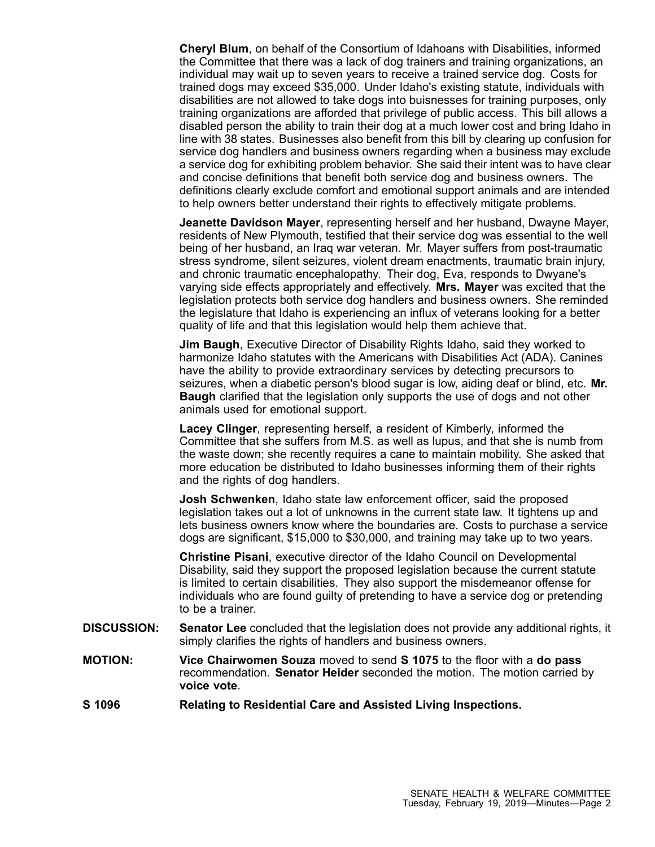**Cheryl Blum**, on behalf of the Consortium of Idahoans with Disabilities, informed the Committee that there was <sup>a</sup> lack of dog trainers and training organizations, an individual may wait up to seven years to receive <sup>a</sup> trained service dog. Costs for trained dogs may exceed \$35,000. Under Idaho's existing statute, individuals with disabilities are not allowed to take dogs into buisnesses for training purposes, only training organizations are afforded that privilege of public access. This bill allows <sup>a</sup> disabled person the ability to train their dog at <sup>a</sup> much lower cost and bring Idaho in line with 38 states. Businesses also benefit from this bill by clearing up confusion for service dog handlers and business owners regarding when <sup>a</sup> business may exclude <sup>a</sup> service dog for exhibiting problem behavior. She said their intent was to have clear and concise definitions that benefit both service dog and business owners. The definitions clearly exclude comfort and emotional support animals and are intended to help owners better understand their rights to effectively mitigate problems.

**Jeanette Davidson Mayer**, representing herself and her husband, Dwayne Mayer, residents of New Plymouth, testified that their service dog was essential to the well being of her husband, an Iraq war veteran. Mr. Mayer suffers from post-traumatic stress syndrome, silent seizures, violent dream enactments, traumatic brain injury, and chronic traumatic encephalopathy. Their dog, Eva, responds to Dwyane's varying side effects appropriately and effectively. **Mrs. Mayer** was excited that the legislation protects both service dog handlers and business owners. She reminded the legislature that Idaho is experiencing an influx of veterans looking for <sup>a</sup> better quality of life and that this legislation would help them achieve that.

**Jim Baugh**, Executive Director of Disability Rights Idaho, said they worked to harmonize Idaho statutes with the Americans with Disabilities Act (ADA). Canines have the ability to provide extraordinary services by detecting precursors to seizures, when <sup>a</sup> diabetic person's blood sugar is low, aiding deaf or blind, etc. **Mr. Baugh** clarified that the legislation only supports the use of dogs and not other animals used for emotional support.

**Lacey Clinger**, representing herself, <sup>a</sup> resident of Kimberly, informed the Committee that she suffers from M.S. as well as lupus, and that she is numb from the waste down; she recently requires <sup>a</sup> cane to maintain mobility. She asked that more education be distributed to Idaho businesses informing them of their rights and the rights of dog handlers.

**Josh Schwenken**, Idaho state law enforcement officer, said the proposed legislation takes out <sup>a</sup> lot of unknowns in the current state law. It tightens up and lets business owners know where the boundaries are. Costs to purchase <sup>a</sup> service dogs are significant, \$15,000 to \$30,000, and training may take up to two years.

**Christine Pisani**, executive director of the Idaho Council on Developmental Disability, said they support the proposed legislation because the current statute is limited to certain disabilities. They also support the misdemeanor offense for individuals who are found guilty of pretending to have <sup>a</sup> service dog or pretending to be a trainer.

- **DISCUSSION: Senator Lee** concluded that the legislation does not provide any additional rights, it simply clarifies the rights of handlers and business owners.
- **MOTION: Vice Chairwomen Souza** moved to send **S 1075** to the floor with <sup>a</sup> **do pass** recommendation. **Senator Heider** seconded the motion. The motion carried by **voice vote**.
- **S 1096 Relating to Residential Care and Assisted Living Inspections.**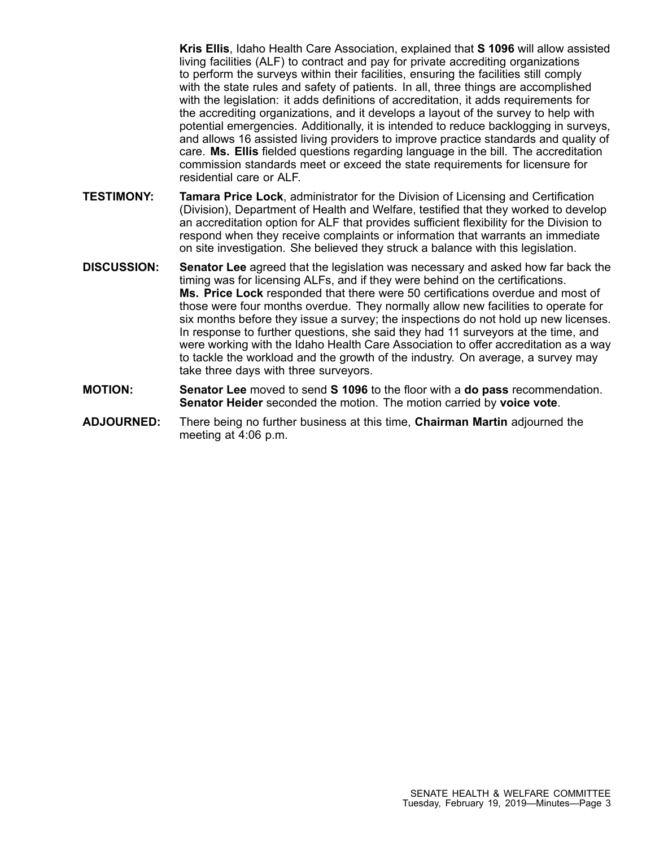**Kris Ellis**, Idaho Health Care Association, explained that **S 1096** will allow assisted living facilities (ALF) to contract and pay for private accrediting organizations to perform the surveys within their facilities, ensuring the facilities still comply with the state rules and safety of patients. In all, three things are accomplished with the legislation: it adds definitions of accreditation, it adds requirements for the accrediting organizations, and it develops <sup>a</sup> layout of the survey to help with potential emergencies. Additionally, it is intended to reduce backlogging in surveys, and allows 16 assisted living providers to improve practice standards and quality of care. **Ms. Ellis** fielded questions regarding language in the bill. The accreditation commission standards meet or exceed the state requirements for licensure for residential care or ALF.

- **TESTIMONY: Tamara Price Lock**, administrator for the Division of Licensing and Certification (Division), Department of Health and Welfare, testified that they worked to develop an accreditation option for ALF that provides sufficient flexibility for the Division to respond when they receive complaints or information that warrants an immediate on site investigation. She believed they struck <sup>a</sup> balance with this legislation.
- **DISCUSSION: Senator Lee** agreed that the legislation was necessary and asked how far back the timing was for licensing ALFs, and if they were behind on the certifications. **Ms. Price Lock** responded that there were 50 certifications overdue and most of those were four months overdue. They normally allow new facilities to operate for six months before they issue <sup>a</sup> survey; the inspections do not hold up new licenses. In response to further questions, she said they had 11 surveyors at the time, and were working with the Idaho Health Care Association to offer accreditation as <sup>a</sup> way to tackle the workload and the growth of the industry. On average, <sup>a</sup> survey may take three days with three surveyors.
- **MOTION: Senator Lee** moved to send **S 1096** to the floor with <sup>a</sup> **do pass** recommendation. **Senator Heider** seconded the motion. The motion carried by **voice vote**.
- **ADJOURNED:** There being no further business at this time, **Chairman Martin** adjourned the meeting at 4:06 p.m.